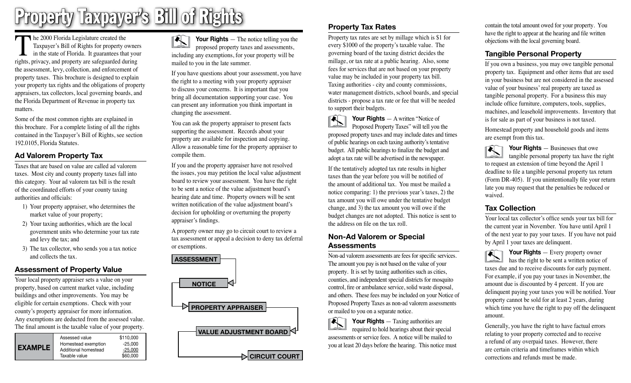# Property Taxpayer's Bill of Rights

The 2000 Florida Legislature created the<br>Taxpayer's Bill of Rights for property of<br>in the state of Florida. It guarantees that<br>rights privacy and property are safeouarded due Taxpayer's Bill of Rights for property owners in the state of Florida. It guarantees that your rights, privacy, and property are safeguarded during the assessment, levy, collection, and enforcement of property taxes. This brochure is designed to explain your property tax rights and the obligations of property appraisers, tax collectors, local governing boards, and the Florida Department of Revenue in property tax matters.

Some of the most common rights are explained in this brochure. For a complete listing of all the rights contained in the Taxpayer's Bill of Rights, see section 192.0105, Florida Statutes.

### **Ad Valorem Property Tax**

Taxes that are based on value are called ad valorem taxes. Most city and county property taxes fall into this category. Your ad valorem tax bill is the result of the coordinated efforts of your county taxing authorities and officials:

- 1) Your property appraiser, who determines the market value of your property;
- 2) Your taxing authorities, which are the local government units who determine your tax rate and levy the tax; and
- 3) The tax collector, who sends you a tax notice and collects the tax.

## **Assessment of Property Value**

Your local property appraiser sets a value on your property, based on current market value, including buildings and other improvements. You may be eligible for certain exemptions. Check with your county's property appraiser for more information. Any exemptions are deducted from the assessed value. The final amount is the taxable value of your property.

| <b>EXAMPLE</b> | Assessed value<br>Homestead exemption | \$110,000<br>$-25.000$ |
|----------------|---------------------------------------|------------------------|
|                | Additional homestead<br>Taxable value | $-25.000$<br>\$60,000  |

**Your Rights** — The notice telling you the  $\blacktriangleright$ proposed property taxes and assessments, including any exemptions, for your property will be mailed to you in the late summer.

If you have questions about your assessment, you have the right to a meeting with your property appraiser to discuss your concerns. It is important that you bring all documentation supporting your case. You can present any information you think important in changing the assessment.

You can ask the property appraiser to present facts supporting the assessment. Records about your property are available for inspection and copying. Allow a reasonable time for the property appraiser to compile them.

If you and the property appraiser have not resolved the issues, you may petition the local value adjustment board to review your assessment. You have the right to be sent a notice of the value adjustment board's hearing date and time. Property owners will be sent written notification of the value adjustment board's decision for upholding or overturning the property appraiser's findings.

A property owner may go to circuit court to review a tax assessment or appeal a decision to deny tax deferral or exemptions.



## **Property Tax Rates**

Property tax rates are set by millage which is \$1 for every \$1000 of the property's taxable value. The governing board of the taxing district decides the millage, or tax rate at a public hearing. Also, some fees for services that are not based on your property value may be included in your property tax bill. Taxing authorities - city and county commissions, water management districts, school boards, and special districts - propose a tax rate or fee that will be needed to support their budgets.

**Your Rights** — A written "Notice of Proposed Property Taxes" will tell you the proposed property taxes and may include dates and times of public hearings on each taxing authority's tentative budget. All public hearings to finalize the budget and adopt a tax rate will be advertised in the newspaper.

If the tentatively adopted tax rate results in higher taxes than the year before you will be notified of the amount of additional tax. You must be mailed a notice comparing: 1) the previous year's taxes, 2) the tax amount you will owe under the tentative budget change, and 3) the tax amount you will owe if the budget changes are not adopted. This notice is sent to the address on file on the tax roll.

#### **Non-Ad Valorem or Special Assessments**

Non-ad valorem assessments are fees for specific services. The amount you pay is not based on the value of your property. It is set by taxing authorities such as cities, counties, and independent special districts for mosquito control, fire or ambulance service, solid waste disposal, and others. These fees may be included on your Notice of Proposed Property Taxes as non-ad valorem assessments or mailed to you on a separate notice.



required to hold hearings about their special assessments or service fees. A notice will be mailed to you at least 20 days before the hearing. This notice must contain the total amount owed for your property. You have the right to appear at the hearing and file written objections with the local governing board.

## **Tangible Personal Property**

If you own a business, you may owe tangible personal property tax. Equipment and other items that are used in your business but are not considered in the assessed value of your business' real property are taxed as tangible personal property. For a business this may include office furniture, computers, tools, supplies, machines, and leasehold improvements. Inventory that is for sale as part of your business is not taxed.

Homestead property and household goods and items are exempt from this tax.

**Your Rights** — Businesses that owe tangible personal property tax have the right to request an extension of time beyond the April 1 deadline to file a tangible personal property tax return (Form DR-405). If you unintentionally file your return late you may request that the penalties be reduced or waived.

#### **Tax Collection**

Your local tax collector's office sends your tax bill for the current year in November. You have until April 1 of the next year to pay your taxes. If you have not paid by April 1 your taxes are delinquent.

**Your Rights** — Every property owner  $|\mathbf{N}|$ has the right to be sent a written notice of taxes due and to receive discounts for early payment. For example, if you pay your taxes in November, the amount due is discounted by 4 percent. If you are delinquent paying your taxes you will be notified. Your property cannot be sold for at least 2 years, during which time you have the right to pay off the delinquent amount.

Generally, you have the right to have factual errors relating to your property corrected and to receive a refund of any overpaid taxes. However, there are certain criteria and timeframes within which corrections and refunds must be made.